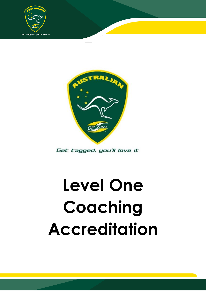



Get tagged, you'll love it

# **Level One Coaching Accreditation**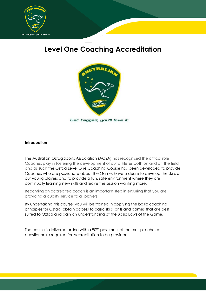

# **Level One Coaching Accreditation**



#### **Introduction**

The Australian Oztag Sports Association (AOSA) has recognised the critical role Coaches play in fostering the development of our athletes both on and off the field and as such the Oztag Level One Coaching Course has been developed to provide Coaches who are passionate about the Game, have a desire to develop the skills of our young players and to provide a fun, safe environment where they are continually learning new skills and leave the session wanting more.

Becoming an accredited coach is an important step in ensuring that you are providing a quality service to all players.

By undertaking this course, you will be trained in applying the basic coaching principles for Oztag, obtain access to basic skills, drills and games that are best suited to Oztag and gain an understanding of the Basic Laws of the Game.

The course is delivered online with a 90% pass mark of the multiple-choice questionnaire required for Accreditation to be provided.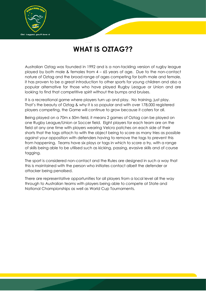

# **WHAT IS OZTAG??**

Australian Oztag was founded in 1992 and is a non-tackling version of rugby league played by both male & females from 4 – 65 years of age. Due to the non-contact nature of Oztag and the broad range of ages competing for both male and female, it has proven to be a great introduction to other sports for young children and also a popular alternative for those who have played Rugby League or Union and are looking to find that competitive spirit without the bumps and bruises.

It is a recreational game where players turn up and play. No training, just play. That's the beauty of Oztag & why it is so popular and with over 178,000 registered players competing, the Game will continue to grow because it caters for all.

Being played on a 70m x 50m field, it means 2 games of Oztag can be played on one Rugby League/Union or Soccer field. Eight players for each team are on the field at any one time with players wearing Velcro patches on each side of their shorts that the tags attach to with the object being to score as many tries as possible against your opposition with defenders having to remove the tags to prevent this from happening. Teams have six plays or tags in which to score a try, with a range of skills being able to be utilised such as kicking, passing, evasive skills and of course tagging.

The sport is considered non-contact and the Rules are designed in such a way that this is maintained with the person who initiates contact albeit the defender or attacker being penalised.

There are representative opportunities for all players from a local level all the way through to Australian teams with players being able to compete at State and National Championships as well as World Cup Tournaments.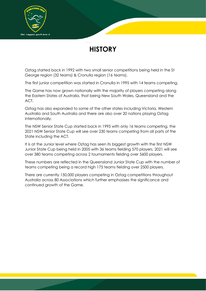

# **HISTORY**

Oztag started back in 1992 with two small senior competitions being held in the St George region (32 teams) & Cronulla region (16 teams).

The first junior competition was started in Cronulla in 1995 with 14 teams competing.

The Game has now grown nationally with the majority of players competing along the Eastern States of Australia, that being New South Wales, Queensland and the ACT.

Oztag has also expanded to some of the other states including Victoria, Western Australia and South Australia and there are also over 20 nations playing Oztag internationally.

The NSW Senior State Cup started back in 1995 with only 16 teams competing, the 2021 NSW Senior State Cup will see over 230 teams competing from all parts of the State including the ACT.

It is at the Junior level where Oztag has seen its biggest growth with the first NSW Junior State Cup being held in 2005 with 36 teams fielding 570 players, 2021 will see over 380 teams competing across 2 tournaments fielding over 5600 players.

These numbers are reflected in the Queensland Junior State Cup with the number of teams competing being a record high 175 teams fielding over 2500 players.

There are currently 150,000 players competing in Oztag competitions throughout Australia across 80 Associations which further emphasises the significance and continued growth of the Game.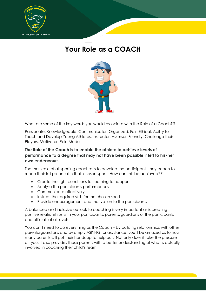

# **Your Role as a COACH**



What are some of the key words you would associate with the Role of a Coach??

Passionate, Knowledgeable, Communicator, Organized, Fair, Ethical, Ability to Teach and Develop Young Athletes, Instructor, Assessor, Friendly, Challenge their Players, Motivator, Role Model.

#### **The Role of the Coach is to enable the athlete to achieve levels of performance to a degree that may not have been possible if left to his/her own endeavours.**

The main role of all sporting coaches is to develop the participants they coach to reach their full potential in their chosen sport. How can this be achieved??

- Create the right conditions for learning to happen
- Analyse the participants performances
- Communicate effectively
- Instruct the required skills for the chosen sport
- Provide encouragement and motivation to the participants

A balanced and inclusive outlook to coaching is very important as is creating positive relationships with your participants, parents/guardians of the participants and officials at all levels.

You don't need to do everything as the Coach – by building relationships with other parents/guardians and by simply ASKING for assistance, you'll be amazed as to how many parents will put their hands up to help out. Not only does it take the pressure off you, it also provides those parents with a better understanding of what is actually involved in coaching their child's team.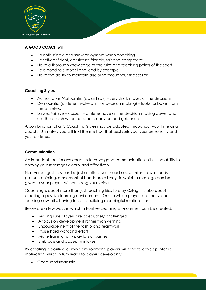

#### **A GOOD COACH will:**

- Be enthusiastic and show enjoyment when coaching
- Be self-confident, consistent, friendly, fair and competent
- Have a thorough knowledge of the rules and teaching points of the sport
- Be a good role model and lead by example
- Have the ability to maintain discipline throughout the session

#### **Coaching Styles**

- Authoritarian/Autocratic (do as I say) very strict, makes all the decisions
- Democratic (athletes involved in the decision making) looks for buy in from the athlete/s
- Laissez Fair (very casual) athletes have all the decision-making power and use the coach when needed for advice and guidance

A combination of all 3 Coaching Styles may be adopted throughout your time as a coach. Ultimately you will find the method that best suits you, your personality and your athletes.

#### **Communication**

An important tool for any coach is to have good communication skills – the ability to convey your messages clearly and effectively.

Non-verbal gestures can be just as effective – head nods, smiles, frowns, body posture, pointing, movement of hands are all ways in which a message can be given to your players without using your voice.

Coaching is about more than just teaching kids to play Oztag, it's also about creating a positive learning environment. One in which players are motivated, learning new skills, having fun and building meaningful relationships.

Below are a few ways in which a Positive Learning Environment can be created:

- Making sure players are adequately challenged
- A focus on development rather than winning
- Encouragement of friendship and teamwork
- Praise hard work and effort
- Make training fun play lots of games
- Embrace and accept mistakes

By creating a positive learning environment, players will tend to develop internal motivation which in turn leads to players developing:

• Good sportsmanship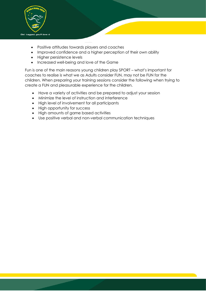

- Positive attitudes towards players and coaches
- Improved confidence and a higher perception of their own ability
- Higher persistence levels
- Increased well-being and love of the Game

Fun is one of the main reasons young children play SPORT – what's important for coaches to realise is what we as Adults consider FUN, may not be FUN for the children. When preparing your training sessions consider the following when trying to create a FUN and pleasurable experience for the children.

- Have a variety of activities and be prepared to adjust your session
- Minimize the level of instruction and interference
- High level of involvement for all participants
- High opportunity for success
- High amounts of game based activities
- Use positive verbal and non-verbal communication techniques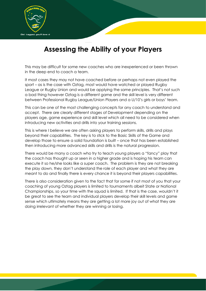

# **Assessing the Ability of your Players**

This may be difficult for some new coaches who are inexperienced or been thrown in the deep end to coach a team.

It most cases they may not have coached before or perhaps not even played the sport – as is the case with Oztag, most would have watched or played Rugby League or Rugby Union and would be applying the same principles. That's not such a bad thing however Oztag is a different game and the skill level is very different between Professional Rugby League/Union Players and a U/10's girls or boys' team.

This can be one of the most challenging concepts for any coach to understand and accept. There are clearly different stages of Development depending on the players age, game experience and skill level which all need to be considered when introducing new activities and drills into your training sessions.

This is where I believe we are often asking players to perform skills, drills and plays beyond their capabilities. The key is to stick to the Basic Skills of the Game and develop those to ensure a solid foundation is built – once that has been established then introducing more advanced skills and drills is the natural progression.

There would be many a coach who try to teach young players a "fancy" play that the coach has thought up or seen in a higher grade and is hoping his team can execute it so he/she looks like a super coach. The problem is they are not breaking the play down, they don't understand the role of each player and what they are meant to do and finally there is every chance it is beyond their players capabilities.

There is also consideration given to the fact that for some if not most of you that your coaching of young Oztag players is limited to tournaments albeit State or National Championships, so your time with the squad is limited. If that is the case, wouldn't it be great to see the team and individual players develop their skill levels and game sense which ultimately means they are getting a lot more joy out of what they are doing irrelevant of whether they are winning or losing.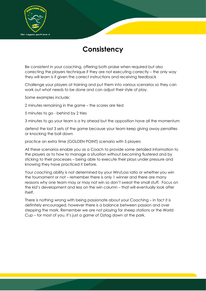

# **Consistency**

Be consistent in your coaching, offering both praise when required but also correcting the players technique if they are not executing correctly – the only way they will learn is if given the correct instructions and receiving feedback

Challenge your players at training and put them into various scenarios so they can work out what needs to be done and can adjust their style of play.

Some examples include:

2 minutes remaining in the game – the scores are tied

5 minutes to go - behind by 2 tries

3 minutes to go your team is a try ahead but the opposition have all the momentum

defend the last 3 sets of the game because your team keep giving away penalties or knocking the ball down

practice an extra time (GOLDEN POINT) scenario with 5 players

All these scenarios enable you as a Coach to provide some detailed information to the players as to how to manage a situation without becoming flustered and by sticking to their processes – being able to execute their plays under pressure and knowing they have practiced it before.

Your coaching ability is not determined by your Win/Loss ratio or whether you win the tournament or not – remember there is only 1 winner and there are many reasons why one team may or may not win so don't sweat the small stuff. Focus on the kid's development and less on the win column – that will eventually look after itself.

There is nothing wrong with being passionate about your Coaching – in fact it is definitely encouraged, however there is a balance between passion and over stepping the mark. Remember we are not playing for sheep stations or the World Cup – for most of you, it's just a game of Oztag down at the park.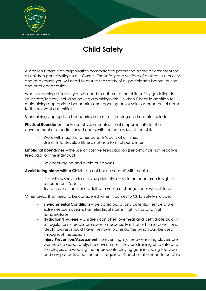

# **Child Safety**

Australian Oztag is an organization committed to promoting a safe environment for all children participating in our Game. The safety and welfare of children is a priority and as a coach you will need to ensure the safety of all participants before, during and after each session.

When coaching children, you will need to adhere to the child safety guidelines in your state/territory including having a Working with Children Check in addition to maintaining appropriate boundaries and reporting any suspicious or potential abuse to the relevant authorities.

Maintaining appropriate boundaries in terms of keeping children safe include:

**Physical Boundaries** – only use physical contact that is appropriate for the development of a particular skill and is with the permission of the child

- Work within sight of other parents/adults at all times
- Use drills to develop fitness, not as a form of punishment

**Emotional Boundaries** – the use of positive feedback on performance not negative feedback on the individual

Be encouraging and avoid put downs

**Avoid being alone with a Child** – do not isolate yourself with a child

- If a child wishes to talk to you privately, do so in an open area in sight of other parents/adults
- Try to have at least one adult with you in a change room with children

Other areas that need to be considered when it comes to Child Safety include:

- **Environmental Conditions** be conscious of any potential temperature extremes such as rain, hail, electrical storms, high winds and high temperatures
- **Hydration/Hygiene**  Children can often overheat and dehydrate quickly so regular drink breaks are essential especially in hot or humid conditions. Ideally players should have their own water bottles which can be used throughout the session
- **Injury Prevention/Assessment** preventing injuries by ensuring players are warmed up adequately, the environment they are training on is safe and the players are wearing the appropriate playing gear including footwear and any protective equipment if required. Coaches also need to be able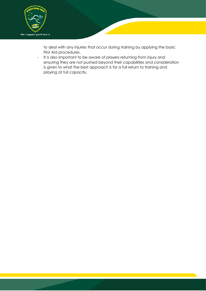

to deal with any injuries that occur during training by applying the basic First Aid procedures.

- It is also important to be aware of players returning from injury and ensuring they are not pushed beyond their capabilities and consideration is given to what the best approach is for a full return to training and playing at full capacity.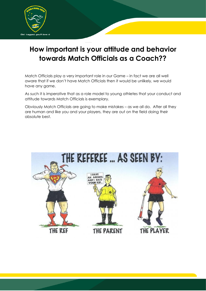

# **How important is your attitude and behavior towards Match Officials as a Coach??**

Match Officials play a very important role in our Game – in fact we are all well aware that if we don't have Match Officials then it would be unlikely, we would have any game.

As such it is imperative that as a role model to young athletes that your conduct and attitude towards Match Officials is exemplary.

Obviously Match Officials are going to make mistakes – as we all do. After all they are human and like you and your players, they are out on the field doing their absolute best.

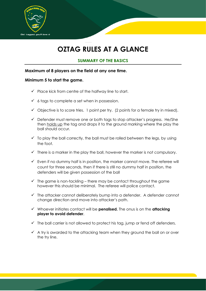

# **OZTAG RULES AT A GLANCE**

#### **SUMMARY OF THE BASICS**

#### **Maximum of 8 players on the field at any one time.**

#### **Minimum 5 to start the game.**

- $\checkmark$  Place kick from centre of the halfway line to start.
- $\checkmark$  6 tags to complete a set when in possession.
- $\checkmark$  Objective is to score tries. 1 point per try. (2 points for a female try in mixed).
- $\checkmark$  Defender must remove one or both tags to stop attacker's progress. He/She then holds up the tag and drops it to the ground marking where the play the ball should occur.
- $\checkmark$  To play the ball correctly, the ball must be rolled between the legs, by using the foot.
- $\checkmark$  There is a marker in the play the ball, however the marker is not compulsory.
- $\checkmark$  Even if no dummy half is in position, the marker cannot move. The referee will count for three seconds, then if there is still no dummy half in position, the defenders will be given possession of the ball
- $\checkmark$  The game is non-tackling there may be contact throughout the game however this should be minimal. The referee will police contact.
- $\checkmark$  The attacker cannot deliberately bump into a defender. A defender cannot change direction and move into attacker's path.
- ✓ Whoever initiates contact will be **penalised.** The onus is on the **attacking player to avoid defender**.
- $\checkmark$  The ball carrier is not allowed to protect his tag, jump or fend off defenders.
- $\checkmark$  A try is awarded to the attacking team when they ground the ball on or over the try line.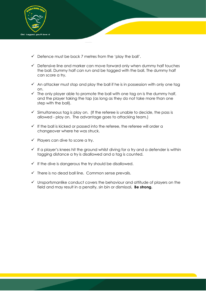

- $\checkmark$  Defence must be back 7 metres from the 'play the ball'.
- $\checkmark$  Defensive line and marker can move forward only when dummy half touches the ball. Dummy half can run and be tagged with the ball. The dummy half can score a try.
- $\checkmark$  An attacker must stop and play the ball if he is in possession with only one tag on.
- $\checkmark$  The only player able to promote the ball with one tag on is the dummy half, and the player taking the tap (as long as they do not take more than one step with the ball).
- $\checkmark$  Simultaneous tag is play on. (If the referee is unable to decide, the pass is allowed - play on. The advantage goes to attacking team.)
- $\checkmark$  If the ball is kicked or passed into the referee, the referee will order a changeover where he was struck.
- $\checkmark$  Players can dive to score a try.
- $\checkmark$  If a player's knees hit the ground whilst diving for a try and a defender is within tagging distance a try is disallowed and a tag is counted.
- $\checkmark$  If the dive is dangerous the try should be disallowed.
- $\checkmark$  There is no dead ball line. Common sense prevails.
- ✓ Unsportsmanlike conduct covers the behaviour and attitude of players on the field and may result in a penalty, sin bin or dismissal**. Be strong.**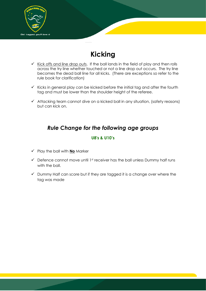

# **Kicking**

- $\checkmark$  Kick offs and line drop outs. If the ball lands in the field of play and then rolls across the try line whether touched or not a line drop out occurs. The try line becomes the dead ball line for all kicks. (There are exceptions so refer to the rule book for clarification)
- $\checkmark$  Kicks in general play can be kicked before the initial tag and after the fourth tag and must be lower than the shoulder height of the referee.
- $\checkmark$  Attacking team cannot dive on a kicked ball in any situation, (safety reasons) but can kick on.

# *Rule Change for the following age groups*

#### **U8's & U10's**

- ✓ Play the ball with **No** Marker
- $\checkmark$  Defence cannot move until 1st receiver has the ball unless Dummy half runs with the ball.
- $\checkmark$  Dummy Half can score but if they are tagged it is a change over where the tag was made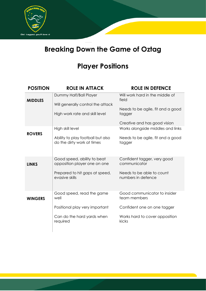

# **Breaking Down the Game of Oztag**

# **Player Positions**

| <b>POSITION</b> | <b>ROLE IN ATTACK</b>                                           | <b>ROLE IN DEFENCE</b>                          |
|-----------------|-----------------------------------------------------------------|-------------------------------------------------|
| <b>MIDDLES</b>  | Dummy Half/Ball Player<br>Will generally control the attack     | Will work hard in the middle of<br>field        |
|                 | High work rate and skill level                                  | Needs to be agile, fit and a good<br>tagger     |
|                 |                                                                 | Creative and has good vision                    |
|                 | High skill level                                                | Works alongside middles and links               |
| <b>ROVERS</b>   | Ability to play football but also<br>do the dirty work at times | Needs to be agile, fit and a good<br>tagger     |
| <b>LINKS</b>    | Good speed, ability to beat<br>opposition player one on one     | Confident tagger, very good<br>communicator     |
|                 | Prepared to hit gaps at speed,<br>evasive skills                | Needs to be able to count<br>numbers in defence |
| <b>WINGERS</b>  | Good speed, read the game<br>well                               | Good communicator to insider<br>team members    |
|                 | Positional play very important                                  | Confident one on one tagger                     |
|                 | Can do the hard yards when<br>required                          | Works hard to cover opposition<br>kicks         |
|                 |                                                                 |                                                 |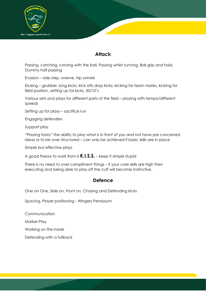

### **Attack**

Passing, catching, running with the ball, Passing whilst running, Ball grip and hold, Dummy half passing

Evasion – side step, swerve, hip swivels

Kicking – grubber, long kicks, kick offs drop kicks, kicking for team mates, kicking for field position, setting up for kicks, 50/10's

Various sets and plays for different parts of the field – playing with tempo/different speeds

Setting up for plays – sacrifice run

Engaging defenders

Support play

"Playing footy" the ability to play what is in front of you and not have pre conceived ideas or to be over structured – can only be achieved if basic skills are in place

Simple but effective plays

A good theory to work from is **K.I.S.S.** – keep it simple stupid

There is no need to over compliment things – if your core skills are high then executing and being able to play off the cuff will become instinctive.

### **Defence**

One on One, Side on, Front on, Chasing and Defending kicks

Spacing, Player positioning - Wingers Pendulum

Communication

Marker Play

Working on the inside

Defending with a fullback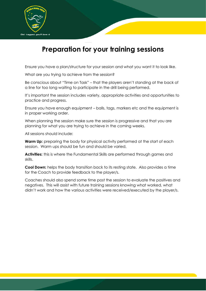

# **Preparation for your training sessions**

Ensure you have a plan/structure for your session and what you want it to look like.

What are you trying to achieve from the session?

Be conscious about "Time on Task" – that the players aren't standing at the back of a line for too long waiting to participate in the drill being performed.

It's important the session includes variety, appropriate activities and opportunities to practice and progress.

Ensure you have enough equipment – balls, tags, markers etc and the equipment is in proper working order.

When planning the session make sure the session is progressive and that you are planning for what you are trying to achieve in the coming weeks.

All sessions should include:

**Warm Up:** preparing the body for physical activity performed at the start of each session. Warm ups should be fun and should be varied.

**Activities:** this is where the Fundamental Skills are performed through games and skills.

**Cool Down:** helps the body transition back to its resting state. Also provides a time for the Coach to provide feedback to the player/s.

Coaches should also spend some time post the session to evaluate the positives and negatives. This will assist with future training sessions knowing what worked, what didn't work and how the various activities were received/executed by the player/s.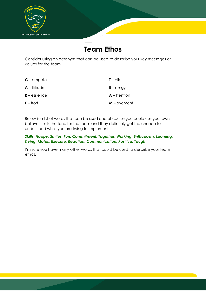

# **Team Ethos**

Consider using an acronym that can be used to describe your key messages or values for the team

| $C$ – ompete    | $T - c$ lk     |
|-----------------|----------------|
| $A$ – ttitiude  | $E$ – nergy    |
| $R$ – esilience | $A$ – thention |
| $E - f$ fort    | $M$ – ovement  |

Below is a list of words that can be used and of course you could use your own – I believe it sets the tone for the team and they definitely get the chance to understand what you are trying to implement.

*Skills, Happy, Smiles, Fun, Commitment, Together, Working, Enthusiasm, Learning, Trying, Mates, Execute, Reaction, Communication, Positive, Tough*

I'm sure you have many other words that could be used to describe your team ethos.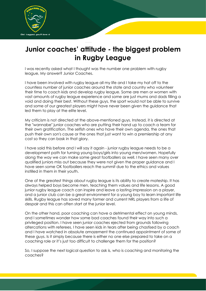

# **Junior coaches' attitude - the biggest problem in Rugby League**

I was recently asked what I thought was the number one problem with rugby league, My answer? Junior Coaches.

I have been involved with rugby league all my life and I take my hat off to the countless number of junior coaches around the state and country who volunteer their time to coach kids and develop rugby league. Some are men or women with vast amounts of rugby league experience and some are just mums and dads filling a void and doing their best. Without these guys, the sport would not be able to survive and some of our greatest players might have never been given the guidance that led them to play at the elite level.

My criticism is not directed at the above-mentioned guys. Instead, it is directed at the "wannabe" junior coaches who are putting their hand up to coach a team for their own gratification. The selfish ones who have their own agenda, the ones that push their own son's cause or the ones that just want to win a premiership at any cost so they can bask in that glory.

I have said this before and I will say it again - junior rugby league needs to be a development path for turning young boys/girls into young men/women. Hopefully along the way we can make some great footballers as well. I have seen many over qualified juniors miss out because they were not given the proper guidance and I have seen some OK footballers reach the summit due to the ethics and values instilled in them in their youth.

One of the greatest things about rugby league is its ability to create mateship. It has always helped boys become men, teaching them values and life lessons. A good junior rugby league coach can inspire and leave a lasting impression on a player, and a junior club can be a great environment for a young boy to learn important life skills. Rugby league has saved many former and current NRL players from a life of despair and this can often start at the junior level.

On the other hand, poor coaching can have a detrimental effect on young minds, and I sometimes wonder how some bad coaches found their way into such a privileged position. I have seen junior coaches ejected from grounds following altercations with referees, I have seen kids in tears after being chastised by a coach and I have watched in absolute amazement the continued appointment of some of these guys. Is it simply because there is either no one else prepared to take on a coaching role or it's just too difficult to challenge them for the position?

So, I suppose the next logical question to ask is, who is coaching and monitoring the coaches?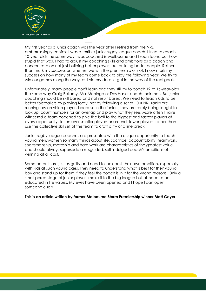

My first year as a junior coach was the year after I retired from the NRL. I embarrassingly confess I was a terrible junior rugby league coach. I tried to coach 10-year-olds the same way I was coached in Melbourne and I soon found out how stupid that was. I had to adjust my coaching skills and ambitions as a coach and concentrate on not just building better players but building better people. Rather than mark my success on whether we win the premiership or not, I now mark my success on how many of my team come back to play the following year. We try to win our games along the way, but victory doesn't get in the way of the real goals.

Unfortunately, many people don't learn and they still try to coach 12 to 16-year-olds the same way Craig Bellamy, Mal Meninga or Des Hasler coach their men. But junior coaching should be skill based and not result based. We need to teach kids to be better footballers by playing footy, not by following a script. Our NRL ranks are running low on vision players because in the juniors, they are rarely being taught to look up, count numbers for an overlap and play what they see. More often I have witnessed a team coached to give the ball to the biggest and fastest players at every opportunity, to run over smaller players or around slower players, rather than use the collective skill set of the team to craft a try or a line break.

Junior rugby league coaches are presented with the unique opportunity to teach young men/women so many things about life. Sacrifice, accountability, teamwork, sportsmanship, mateship and hard work are characteristics of the greatest value and should always supersede a misguided, self-indulged coach's ambitions of winning at all cost.

Some parents are just as guilty and need to look past their own ambition, especially with kids at such young ages. They need to understand what is best for their young boy and stand up for them if they feel the coach is in it for the wrong reasons. Only a small percentage of junior players make it to the big league but all need to be educated in life values. My eyes have been opened and I hope I can open someone else's.

**This is an article written by former Melbourne Storm Premiership winner Matt Geyer.**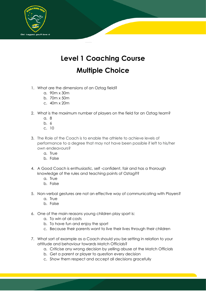

# **Level 1 Coaching Course Multiple Choice**

- 1. What are the dimensions of an Oztag field?
	- a. 90m x 30m
	- b. 70m x 50m
	- c. 40m x 20m
- 2. What is the maximum number of players on the field for an Oztag team?
	- a. 8
	- b. 6
	- c. 10
- 3. The Role of the Coach is to enable the athlete to achieve levels of performance to a degree that may not have been possible if left to his/her own endeavours?
	- a. True
	- b. False
- 4. A Good Coach is enthusiastic, self -confident, fair and has a thorough knowledge of the rules and teaching points of Oztag??
	- a. True
	- b. False
- 5. Non-verbal gestures are not an effective way of communicating with Players?
	- a. True
	- b. False
- 6. One of the main reasons young children play sport is:
	- a. To win at all costs
	- b. To have fun and enjoy the sport
	- c. Because their parents want to live their lives through their children
- 7. What sort of example as a Coach should you be setting in relation to your attitude and behaviour towards Match Officials?
	- a. Criticise any wrong decision by yelling abuse at the Match Officials
	- b. Get a parent or player to question every decision
	- c. Show them respect and accept all decisions gracefully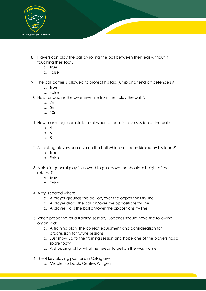

- 8. Players can play the ball by rolling the ball between their legs without it touching their foot?
	- a. True
	- b. False
- 9. The ball carrier is allowed to protect his tag, jump and fend off defenders?
	- a. True
	- b. False
- 10. How far back is the defensive line from the "play the ball"?
	- a. 7m
	- b. 5m
	- c. 10m
- 11. How many tags complete a set when a team is in possession of the ball?
	- a. 4
	- b. 6
	- c. 8
- 12. Attacking players can dive on the ball which has been kicked by his team?
	- a. True
	- b. False
- 13. A kick in general play is allowed to go above the shoulder height of the referee?
	- a. True
	- b. False
- 14. A try is scored when:
	- a. A player grounds the ball on/over the oppositions try line
	- b. A player drops the ball on/over the oppositions try line
	- c. A player kicks the ball on/over the oppositions try line
- 15. When preparing for a training session, Coaches should have the following organised:
	- a. A training plan, the correct equipment and consideration for progression for future sessions
	- b. Just show up to the training session and hope one of the players has a spare footy
	- c. A shopping list for what he needs to get on the way home

16. The 4 key playing positions in Oztag are:

a. Middle, Fullback, Centre, Wingers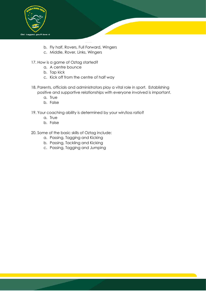

- b. Fly half, Rovers, Full Forward, Wingers
- c. Middle, Rover, Links, Wingers
- 17. How is a game of Oztag started?
	- a. A centre bounce
	- b. Tap kick
	- c. Kick off from the centre of half way
- 18. Parents, officials and administrators play a vital role in sport. Establishing positive and supportive relationships with everyone involved is important.
	- a. True
	- b. False
- 19. Your coaching ability is determined by your win/loss ratio?
	- a. True
	- b. False
- 20. Some of the basic skills of Oztag include:
	- a. Passing, Tagging and Kicking
	- b. Passing, Tackling and Kicking
	- c. Passing, Tagging and Jumping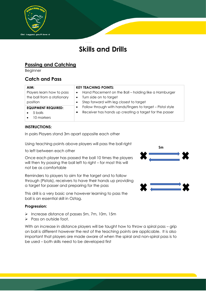

# **Skills and Drills**

## **Passing and Catching**

Beginner

### **Catch and Pass**

| <b>KEY TEACHING POINTS:</b>                                             |
|-------------------------------------------------------------------------|
| Hand Placement on the Ball – holding like a Hamburger<br>$\bullet$      |
| Turn side on to target<br>$\bullet$                                     |
| Step forward with leg closest to target                                 |
| Follow through with hands/fingers to target - Pistol style<br>$\bullet$ |
| Receiver has hands up creating a target for the passer                  |
|                                                                         |
|                                                                         |

#### **INSTRUCTIONS:**

In pairs Players stand 3m apart opposite each other

Using teaching points above players will pass the ball right

to left between each other

Once each player has passed the ball 10 times the players will then try passing the ball left to right – for most this will not be as comfortable

Reminders to players to aim for the target and to follow through (Pistols), receivers to have their hands up providing a target for passer and preparing for the pass

This drill is a very basic one however learning to pass the ball is an essential skill in Oztag.

#### **Progression:**

- ➢ Increase distance of passes 5m, 7m, 10m, 15m
- ➢ Pass on outside foot.

With an increase in distance players will be taught how to throw a spiral pass – grip on ball is different however the rest of the teaching points are applicable. It is also important that players are made aware of when the spiral and non-spiral pass is to be used – both skills need to be developed first

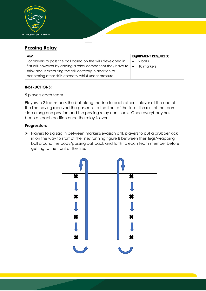

### **Passing Relay**

| AIM:                                                                               | <b>EQUIPMENT REQUIRED:</b> |
|------------------------------------------------------------------------------------|----------------------------|
| For players to pass the ball based on the skills developed in                      | 2 balls<br>$\bullet$       |
| first drill however by adding a relay component they have to $\vert \bullet \vert$ | 10 markers                 |
| think about executing the skill correctly in addition to                           |                            |
| performing other skills correctly whilst under pressure                            |                            |

#### **INSTRUCTIONS:**

#### 5 players each team

Players in 2 teams pass the ball along the line to each other – player at the end of the line having received the pass runs to the front of the line – the rest of the team slide along one position and the passing relay continues. Once everybody has been on each position once the relay is over.

#### **Progression:**

➢ Players to zig zag in between markers/evasion drill, players to put a grubber kick in on the way to start of the line/ running figure 8 between their legs/wrapping ball around the body/passing ball back and forth to each team member before getting to the front of the line.

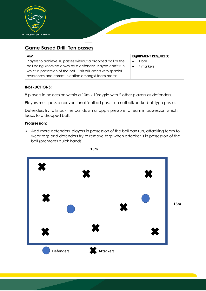

### **Game Based Drill: Ten passes**

| AIM:                                                              | <b>EQUIPMENT REQUIRED:</b> |
|-------------------------------------------------------------------|----------------------------|
| Players to achieve 10 passes without a dropped ball or the        | 1 ball<br>$\bullet$        |
| ball being knocked down by a defender. Players can't run          | 4 markers                  |
| whilst in possession of the ball. This drill assists with spacial |                            |
| awareness and communication amongst team mates                    |                            |

#### **INSTRUCTIONS:**

8 players in possession within a 10m x 10m grid with 2 other players as defenders.

Players must pass a conventional football pass – no netball/basketball type passes

Defenders try to knock the ball down or apply pressure to team in possession which leads to a dropped ball.

#### **Progression:**

➢ Add more defenders, players in possession of the ball can run, attacking team to wear tags and defenders try to remove tags when attacker is in possession of the ball (promotes quick hands)



**15m**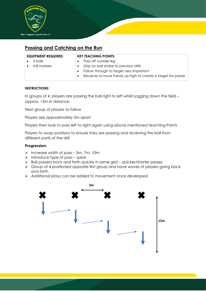

### **Passing and Catching on the Run**

| <b>EQUIPMENT REQUIRED:</b> |           | <b>KEY TEACHING POINTS:</b>                                  |
|----------------------------|-----------|--------------------------------------------------------------|
| 3 balls                    | $\bullet$ | Pass off outside leg                                         |
| 4-8 markers                | $\bullet$ | Grip on ball similar to previous drills                      |
|                            | $\bullet$ | Follow through to target very important                      |
|                            | $\bullet$ | Receiver to have hands up high to create a target for passer |

#### **INSTRUCTIONS:**

In groups of 4, players are passing the ball right to left whilst jogging down the field – approx. 15m in distance

Next group of players to follow

Players are approximately 3m apart

Players then look to pass left to right again using above mentioned teaching Points

Players to swap positions to ensure they are passing and receiving the ball from different parts of the drill

#### **Progression:**

- ➢ Increase width of pass 5m, 7m, 10m
- $\triangleright$  Introduce type of pass spiral
- ➢ Ball passed back and forth quickly in same grid quicker/shorter passes
- ➢ Group of 4 positioned opposite first group and have waves of players going back and forth.
- ➢ Additional plays can be added to movement once developed

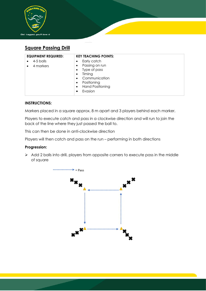

### **Square Passing Drill**

| <b>EQUIPMENT REQUIRED:</b>                       | <b>KEY TEACHING POINTS:</b>                                                                                                                                                                                   |
|--------------------------------------------------|---------------------------------------------------------------------------------------------------------------------------------------------------------------------------------------------------------------|
| 4-5 balls<br>$\bullet$<br>4 markers<br>$\bullet$ | Early catch<br>$\bullet$<br>Passing on run<br>$\bullet$<br>Type of pass<br>$\bullet$<br>Timing<br>$\bullet$<br>Communication<br>$\bullet$<br>Positioning<br>$\bullet$<br><b>Hand Positioning</b><br>$\bullet$ |
|                                                  | Evasion<br>$\bullet$                                                                                                                                                                                          |

#### **INSTRUCTIONS:**

Markers placed in a square approx. 8 m apart and 3 players behind each marker.

Players to execute catch and pass in a clockwise direction and will run to join the back of the line where they just passed the ball to.

This can then be done in anti-clockwise direction

Players will then catch and pass on the run – performing in both directions

#### **Progression:**

➢ Add 2 balls into drill, players from opposite corners to execute pass in the middle of square

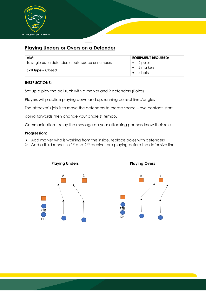

### **Playing Unders or Overs on a Defender**

| AIM:                                              | <b>EQUIPMENT REQUIRED:</b>               |
|---------------------------------------------------|------------------------------------------|
| To single out a defender, create space or numbers | $\bullet$ 2 poles                        |
| <b>Skill type</b> – Closed                        | $\bullet$ 2 markers<br>$\bullet$ 4 balls |

#### **INSTRUCTIONS:**

Set up a play the ball ruck with a marker and 2 defenders (Poles)

Players will practice playing down and up, running correct lines/angles

The attacker's job is to move the defenders to create space – eye contact, start

going forwards then change your angle & tempo.

Communication – relay the message do your attacking partners know their role

#### **Progression:**

- ➢ Add marker who is working from the inside, replace poles with defenders
- $\triangleright$  Add a third runner so 1st and 2<sup>nd</sup> receiver are playing before the defensive line

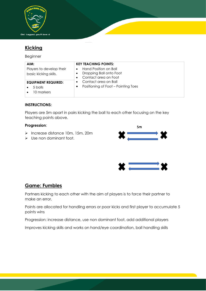

# **Kicking**

Beginner

| AIM:                                              | <b>KEY TEACHING POINTS:</b>                                              |
|---------------------------------------------------|--------------------------------------------------------------------------|
| Players to develop their<br>basic kicking skills. | Hand Position on Ball<br>Dropping Ball onto Foot<br>Contact area on Foot |
| <b>EQUIPMENT REQUIRED:</b>                        | Contact area on Ball                                                     |
| 5 balls                                           | Positioning of Foot – Pointing Toes                                      |
| 10 markers                                        |                                                                          |

#### **INSTRUCTIONS:**

Players are 5m apart in pairs kicking the ball to each other focusing on the key teaching points above.

#### **Progression**:

- ➢ Increase distance 10m, 15m, 20m
- ➢ Use non dominant foot.





### **Game: Fumbles**

Partners kicking to each other with the aim of players is to force their partner to make an error.

Points are allocated for handling errors or poor kicks and first player to accumulate 5 points wins

Progression: increase distance, use non dominant foot, add additional players

Improves kicking skills and works on hand/eye coordination, ball handling skills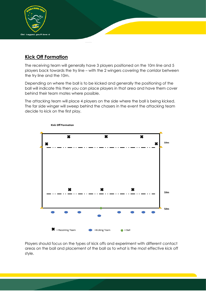

### **Kick Off Formation**

The receiving team will generally have 3 players positioned on the 10m line and 5 players back towards the try line – with the 2 wingers covering the corridor between the try line and the 10m.

Depending on where the ball is to be kicked and generally the positioning of the ball will indicate this then you can place players in that area and have them cover behind their team mates where possible.

The attacking team will place 4 players on the side where the ball is being kicked. The far side winger will sweep behind the chasers in the event the attacking team decide to kick on the first play.



Kick Off Formation

Players should focus on the types of kick offs and experiment with different contact areas on the ball and placement of the ball as to what is the most effective kick off style.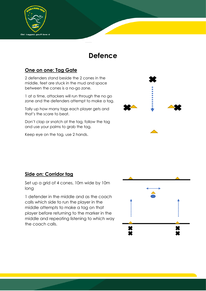

# **Defence**

### **One on one: Tag Gate**

2 defenders stand beside the 2 cones in the middle, feet are stuck in the mud and space between the cones is a no-go zone.

1 at a time, attackers will run through the no go zone and the defenders attempt to make a tag.

Tally up how many tags each player gets and that's the score to beat.

Don't clap or snatch at the tag, follow the tag and use your palms to grab the tag.

Keep eye on the tag, use 2 hands.



### **Side on: Corridor tag**

Set up a grid of 4 cones, 10m wide by 10m long

1 defender in the middle and as the coach calls which side to run the player in the middle attempts to make a tag on that player before returning to the marker in the middle and repeating listening to which way the coach calls.

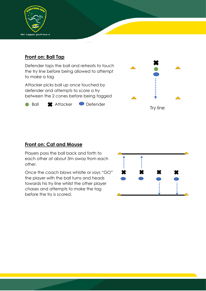

### **Front on: Ball Tap**

Defender taps the ball and retreats to touch the try line before being allowed to attempt to make a tag

Attacker picks ball up once touched by defender and attempts to score a try between the 2 cones before being tagged





### **Front on: Cat and Mouse**

Players pass the ball back and forth to each other at about 3m away from each other.

Once the coach blows whistle or says "GO" the player with the ball turns and heads towards his try line whilst the other player chases and attempts to make the tag before the try is scored.

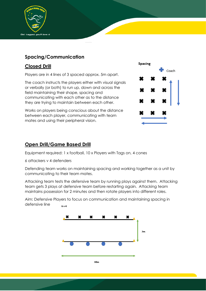

### **Spacing/Communication**

### **Closed Drill**

Players are in 4 lines of 3 spaced approx. 5m apart.

The coach instructs the players either with visual signals or verbally (or both) to run up, down and across the field maintaining their shape, spacing and communicating with each other as to the distance they are trying to maintain between each other.

Works on players being conscious about the distance between each player, communicating with team mates and using their peripheral vision.



### **Open Drill/Game Based Drill**

Equipment required: 1 x football, 10 x Players with Tags on, 4 cones

6 attackers v 4 defenders

Defending team works on maintaining spacing and working together as a unit by communicating to their team mates.

Attacking team tests the defensive team by running plays against them. Attacking team gets 3 plays at defensive team before restarting again. Attacking team maintains possession for 2 minutes and then rotate players into different roles.

Aim: Defensive Players to focus on communication and maintaining spacing in defensive line  $6v4$ 

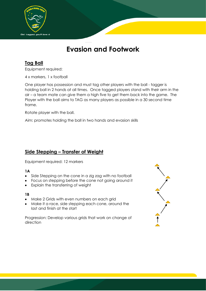

# **Evasion and Footwork**

### **Tag Ball**

Equipment required:

4 x markers, 1 x football

One player has possession and must tag other players with the ball - tagger is holding ball in 2 hands at all times. Once tagged players stand with their arm in the air – a team mate can give them a high five to get them back into the game. The Player with the ball aims to TAG as many players as possible in a 30 second time frame.

Rotate player with the ball.

Aim: promotes holding the ball in two hands and evasion skills

### **Side Stepping – Transfer of Weight**

Equipment required: 12 markers

#### **1A**

- Side Stepping on the cone in a zig zag with no football
- Focus on stepping before the cone not going around it
- Explain the transferring of weight

#### **1B**

- Make 2 Grids with even numbers on each grid
- Make it a race, side stepping each cone, around the last and finish at the start

Progression: Develop various grids that work on change of direction

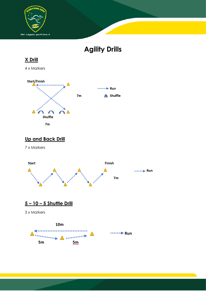

# **Agility Drills**



# **Up and Back Drill**

7 x Markers



# **5 – 10 – 5 Shuttle Drill**

3 x Markers

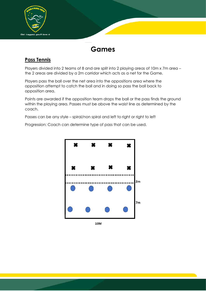

# **Games**

### **Pass Tennis**

Players divided into 2 teams of 8 and are split into 2 playing areas of 10m x 7m area – the 2 areas are divided by a 2m corridor which acts as a net for the Game.

Players pass the ball over the net area into the oppositions area where the opposition attempt to catch the ball and in doing so pass the ball back to opposition area.

Points are awarded if the opposition team drops the ball or the pass finds the ground within the playing area. Passes must be above the waist line as determined by the coach.

Passes can be any style – spiral/non spiral and left to right or right to left

Progression: Coach can determine type of pass that can be used.



10M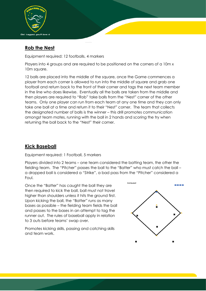

### **Rob the Nest**

Equipment required: 12 footballs, 4 markers

Players into 4 groups and are required to be positioned on the corners of a 10m x 10m square.

12 balls are placed into the middle of the square, once the Game commences a player from each corner is allowed to run into the middle of square and grab one football and return back to the front of their corner and tags the next team member in the line who does likewise. Eventually all the balls are taken from the middle and then players are required to "Rob" take balls from the "Nest" corner of the other teams. Only one player can run from each team at any one time and they can only take one ball at a time and return it to their "Nest" corner. The team that collects the designated number of balls is the winner – this drill promotes communication amongst team mates, running with the ball in 2 hands and scoring the try when returning the ball back to the "Nest" their corner.

### **Kick Baseball**

Equipment required: 1 Football, 5 markers

Players divided into 2 teams – one team considered the batting team, the other the fielding team. The "Pitcher" passes the ball to the "Batter" who must catch the ball – a dropped ball is considered a "Strike", a bad pass from the "Pitcher" considered a Foul.

Once the "Batter" has caught the ball they are then required to kick the ball, ball must not travel higher than shoulders unless it hits the ground first. Upon kicking the ball, the "Batter" runs as many bases as possible – the fielding team fields the ball and passes to the bases in an attempt to tag the runner out. The rules of baseball apply in relation to 3 outs before teams' swap over.

Promotes kicking skills, passing and catching skills and team work.